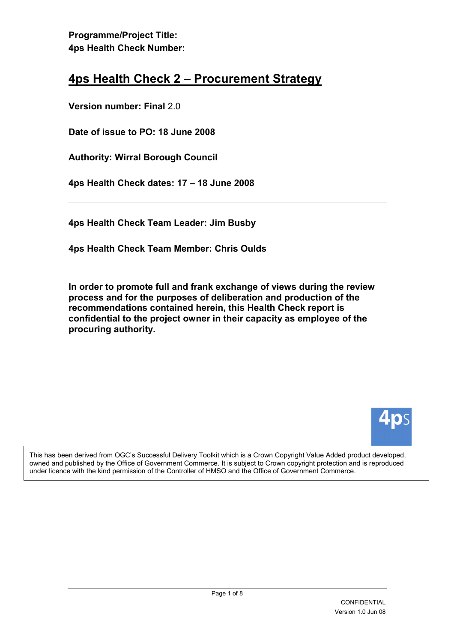# 4ps Health Check 2 – Procurement Strategy

Version number: Final 2.0

Date of issue to PO: 18 June 2008

Authority: Wirral Borough Council

4ps Health Check dates: 17 – 18 June 2008

4ps Health Check Team Leader: Jim Busby

4ps Health Check Team Member: Chris Oulds

In order to promote full and frank exchange of views during the review process and for the purposes of deliberation and production of the recommendations contained herein, this Health Check report is confidential to the project owner in their capacity as employee of the procuring authority.



This has been derived from OGC's Successful Delivery Toolkit which is a Crown Copyright Value Added product developed, owned and published by the Office of Government Commerce. It is subject to Crown copyright protection and is reproduced under licence with the kind permission of the Controller of HMSO and the Office of Government Commerce.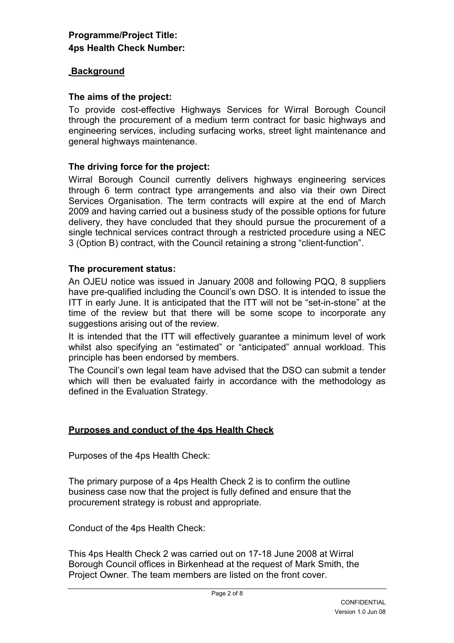#### **Background**

#### The aims of the project:

To provide cost-effective Highways Services for Wirral Borough Council through the procurement of a medium term contract for basic highways and engineering services, including surfacing works, street light maintenance and general highways maintenance.

#### The driving force for the project:

Wirral Borough Council currently delivers highways engineering services through 6 term contract type arrangements and also via their own Direct Services Organisation. The term contracts will expire at the end of March 2009 and having carried out a business study of the possible options for future delivery, they have concluded that they should pursue the procurement of a single technical services contract through a restricted procedure using a NEC 3 (Option B) contract, with the Council retaining a strong "client-function".

#### The procurement status:

An OJEU notice was issued in January 2008 and following PQQ, 8 suppliers have pre-qualified including the Council's own DSO. It is intended to issue the ITT in early June. It is anticipated that the ITT will not be "set-in-stone" at the time of the review but that there will be some scope to incorporate any suggestions arising out of the review.

It is intended that the ITT will effectively guarantee a minimum level of work whilst also specifying an "estimated" or "anticipated" annual workload. This principle has been endorsed by members.

The Council's own legal team have advised that the DSO can submit a tender which will then be evaluated fairly in accordance with the methodology as defined in the Evaluation Strategy.

#### Purposes and conduct of the 4ps Health Check

Purposes of the 4ps Health Check:

The primary purpose of a 4ps Health Check 2 is to confirm the outline business case now that the project is fully defined and ensure that the procurement strategy is robust and appropriate.

Conduct of the 4ps Health Check:

This 4ps Health Check 2 was carried out on 17-18 June 2008 at Wirral Borough Council offices in Birkenhead at the request of Mark Smith, the Project Owner. The team members are listed on the front cover.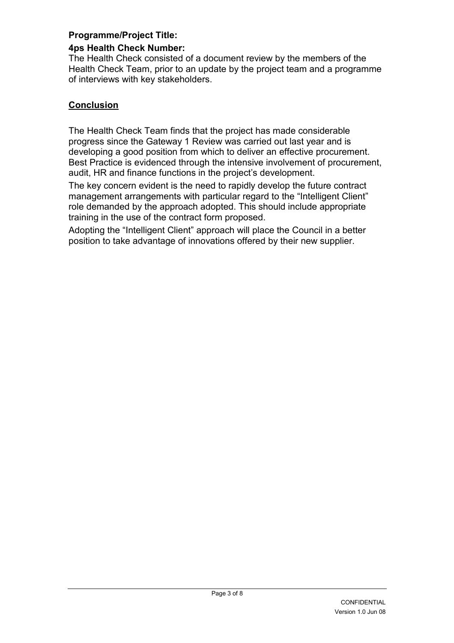## Programme/Project Title:

## 4ps Health Check Number:

The Health Check consisted of a document review by the members of the Health Check Team, prior to an update by the project team and a programme of interviews with key stakeholders.

## **Conclusion**

The Health Check Team finds that the project has made considerable progress since the Gateway 1 Review was carried out last year and is developing a good position from which to deliver an effective procurement. Best Practice is evidenced through the intensive involvement of procurement, audit, HR and finance functions in the project's development.

The key concern evident is the need to rapidly develop the future contract management arrangements with particular regard to the "Intelligent Client" role demanded by the approach adopted. This should include appropriate training in the use of the contract form proposed.

Adopting the "Intelligent Client" approach will place the Council in a better position to take advantage of innovations offered by their new supplier.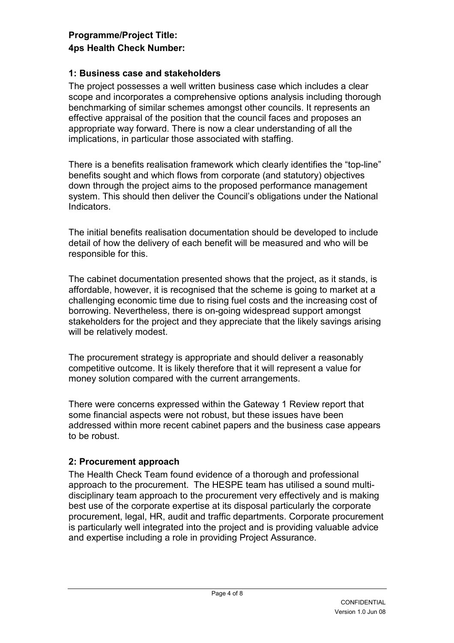### 1: Business case and stakeholders

The project possesses a well written business case which includes a clear scope and incorporates a comprehensive options analysis including thorough benchmarking of similar schemes amongst other councils. It represents an effective appraisal of the position that the council faces and proposes an appropriate way forward. There is now a clear understanding of all the implications, in particular those associated with staffing.

There is a benefits realisation framework which clearly identifies the "top-line" benefits sought and which flows from corporate (and statutory) objectives down through the project aims to the proposed performance management system. This should then deliver the Council's obligations under the National Indicators.

The initial benefits realisation documentation should be developed to include detail of how the delivery of each benefit will be measured and who will be responsible for this.

The cabinet documentation presented shows that the project, as it stands, is affordable, however, it is recognised that the scheme is going to market at a challenging economic time due to rising fuel costs and the increasing cost of borrowing. Nevertheless, there is on-going widespread support amongst stakeholders for the project and they appreciate that the likely savings arising will be relatively modest.

The procurement strategy is appropriate and should deliver a reasonably competitive outcome. It is likely therefore that it will represent a value for money solution compared with the current arrangements.

There were concerns expressed within the Gateway 1 Review report that some financial aspects were not robust, but these issues have been addressed within more recent cabinet papers and the business case appears to be robust.

### 2: Procurement approach

The Health Check Team found evidence of a thorough and professional approach to the procurement. The HESPE team has utilised a sound multidisciplinary team approach to the procurement very effectively and is making best use of the corporate expertise at its disposal particularly the corporate procurement, legal, HR, audit and traffic departments. Corporate procurement is particularly well integrated into the project and is providing valuable advice and expertise including a role in providing Project Assurance.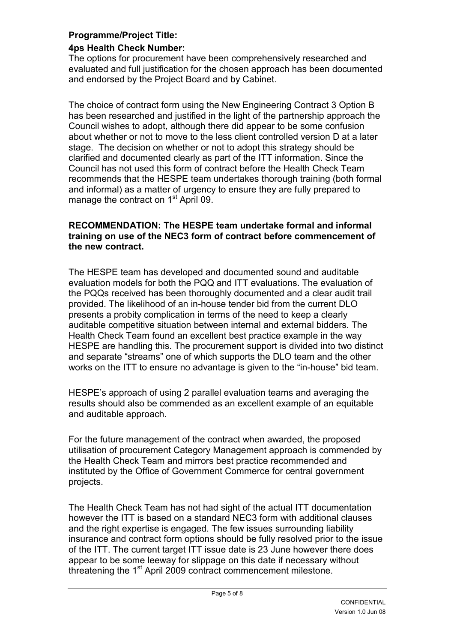## Programme/Project Title:

## 4ps Health Check Number:

The options for procurement have been comprehensively researched and evaluated and full justification for the chosen approach has been documented and endorsed by the Project Board and by Cabinet.

The choice of contract form using the New Engineering Contract 3 Option B has been researched and justified in the light of the partnership approach the Council wishes to adopt, although there did appear to be some confusion about whether or not to move to the less client controlled version D at a later stage. The decision on whether or not to adopt this strategy should be clarified and documented clearly as part of the ITT information. Since the Council has not used this form of contract before the Health Check Team recommends that the HESPE team undertakes thorough training (both formal and informal) as a matter of urgency to ensure they are fully prepared to manage the contract on 1<sup>st</sup> April 09.

#### RECOMMENDATION: The HESPE team undertake formal and informal training on use of the NEC3 form of contract before commencement of the new contract.

The HESPE team has developed and documented sound and auditable evaluation models for both the PQQ and ITT evaluations. The evaluation of the PQQs received has been thoroughly documented and a clear audit trail provided. The likelihood of an in-house tender bid from the current DLO presents a probity complication in terms of the need to keep a clearly auditable competitive situation between internal and external bidders. The Health Check Team found an excellent best practice example in the way HESPE are handling this. The procurement support is divided into two distinct and separate "streams" one of which supports the DLO team and the other works on the ITT to ensure no advantage is given to the "in-house" bid team.

HESPE's approach of using 2 parallel evaluation teams and averaging the results should also be commended as an excellent example of an equitable and auditable approach.

For the future management of the contract when awarded, the proposed utilisation of procurement Category Management approach is commended by the Health Check Team and mirrors best practice recommended and instituted by the Office of Government Commerce for central government projects.

The Health Check Team has not had sight of the actual ITT documentation however the ITT is based on a standard NEC3 form with additional clauses and the right expertise is engaged. The few issues surrounding liability insurance and contract form options should be fully resolved prior to the issue of the ITT. The current target ITT issue date is 23 June however there does appear to be some leeway for slippage on this date if necessary without threatening the 1<sup>st</sup> April 2009 contract commencement milestone.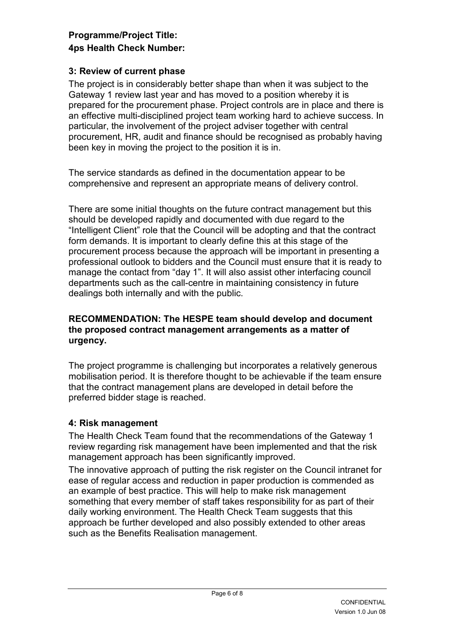## 3: Review of current phase

The project is in considerably better shape than when it was subject to the Gateway 1 review last year and has moved to a position whereby it is prepared for the procurement phase. Project controls are in place and there is an effective multi-disciplined project team working hard to achieve success. In particular, the involvement of the project adviser together with central procurement, HR, audit and finance should be recognised as probably having been key in moving the project to the position it is in.

The service standards as defined in the documentation appear to be comprehensive and represent an appropriate means of delivery control.

There are some initial thoughts on the future contract management but this should be developed rapidly and documented with due regard to the "Intelligent Client" role that the Council will be adopting and that the contract form demands. It is important to clearly define this at this stage of the procurement process because the approach will be important in presenting a professional outlook to bidders and the Council must ensure that it is ready to manage the contact from "day 1". It will also assist other interfacing council departments such as the call-centre in maintaining consistency in future dealings both internally and with the public.

#### RECOMMENDATION: The HESPE team should develop and document the proposed contract management arrangements as a matter of urgency.

The project programme is challenging but incorporates a relatively generous mobilisation period. It is therefore thought to be achievable if the team ensure that the contract management plans are developed in detail before the preferred bidder stage is reached.

### 4: Risk management

The Health Check Team found that the recommendations of the Gateway 1 review regarding risk management have been implemented and that the risk management approach has been significantly improved.

The innovative approach of putting the risk register on the Council intranet for ease of regular access and reduction in paper production is commended as an example of best practice. This will help to make risk management something that every member of staff takes responsibility for as part of their daily working environment. The Health Check Team suggests that this approach be further developed and also possibly extended to other areas such as the Benefits Realisation management.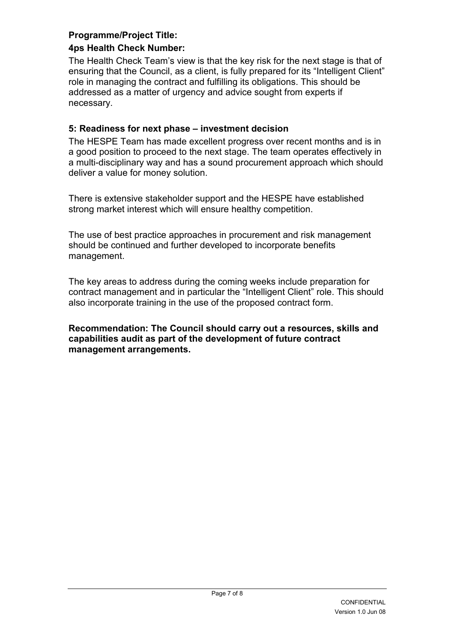## Programme/Project Title:

## 4ps Health Check Number:

The Health Check Team's view is that the key risk for the next stage is that of ensuring that the Council, as a client, is fully prepared for its "Intelligent Client" role in managing the contract and fulfilling its obligations. This should be addressed as a matter of urgency and advice sought from experts if necessary.

## 5: Readiness for next phase – investment decision

The HESPE Team has made excellent progress over recent months and is in a good position to proceed to the next stage. The team operates effectively in a multi-disciplinary way and has a sound procurement approach which should deliver a value for money solution.

There is extensive stakeholder support and the HESPE have established strong market interest which will ensure healthy competition.

The use of best practice approaches in procurement and risk management should be continued and further developed to incorporate benefits management.

The key areas to address during the coming weeks include preparation for contract management and in particular the "Intelligent Client" role. This should also incorporate training in the use of the proposed contract form.

Recommendation: The Council should carry out a resources, skills and capabilities audit as part of the development of future contract management arrangements.